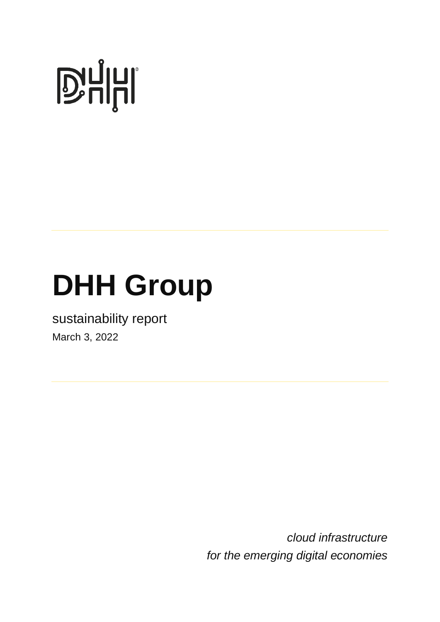# **D'ALITE**

## **DHH Group**

sustainability report March 3, 2022

> *cloud infrastructure for the emerging digital economies*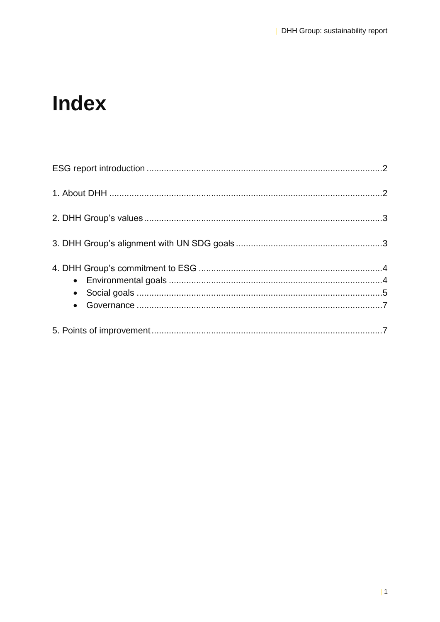### **Index**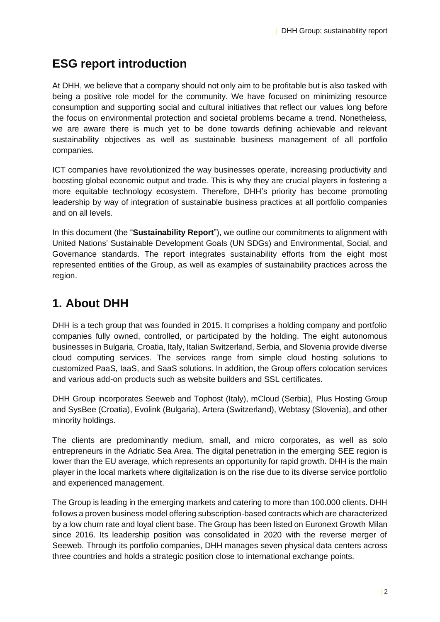#### **ESG report introduction**

At DHH, we believe that a company should not only aim to be profitable but is also tasked with being a positive role model for the community. We have focused on minimizing resource consumption and supporting social and cultural initiatives that reflect our values long before the focus on environmental protection and societal problems became a trend. Nonetheless, we are aware there is much yet to be done towards defining achievable and relevant sustainability objectives as well as sustainable business management of all portfolio companies.

ICT companies have revolutionized the way businesses operate, increasing productivity and boosting global economic output and trade. This is why they are crucial players in fostering a more equitable technology ecosystem. Therefore, DHH's priority has become promoting leadership by way of integration of sustainable business practices at all portfolio companies and on all levels.

In this document (the "**Sustainability Report**"), we outline our commitments to alignment with United Nations' Sustainable Development Goals (UN SDGs) and Environmental, Social, and Governance standards. The report integrates sustainability efforts from the eight most represented entities of the Group, as well as examples of sustainability practices across the region.

#### **1. About DHH**

DHH is a tech group that was founded in 2015. It comprises a holding company and portfolio companies fully owned, controlled, or participated by the holding. The eight autonomous businesses in Bulgaria, Croatia, Italy, Italian Switzerland, Serbia, and Slovenia provide diverse cloud computing services. The services range from simple cloud hosting solutions to customized PaaS, IaaS, and SaaS solutions. In addition, the Group offers colocation services and various add-on products such as website builders and SSL certificates.

DHH Group incorporates Seeweb and Tophost (Italy), mCloud (Serbia), Plus Hosting Group and SysBee (Croatia), Evolink (Bulgaria), Artera (Switzerland), Webtasy (Slovenia), and other minority holdings.

The clients are predominantly medium, small, and micro corporates, as well as solo entrepreneurs in the Adriatic Sea Area. The digital penetration in the emerging SEE region is lower than the EU average, which represents an opportunity for rapid growth. DHH is the main player in the local markets where digitalization is on the rise due to its diverse service portfolio and experienced management.

The Group is leading in the emerging markets and catering to more than 100.000 clients. DHH follows a proven business model offering subscription-based contracts which are characterized by a low churn rate and loyal client base. The Group has been listed on Euronext Growth Milan since 2016. Its leadership position was consolidated in 2020 with the reverse merger of Seeweb. Through its portfolio companies, DHH manages seven physical data centers across three countries and holds a strategic position close to international exchange points.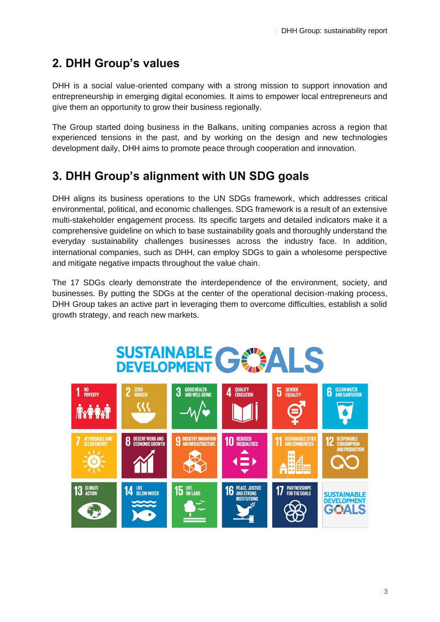#### **2. DHH Group's values**

DHH is a social value-oriented company with a strong mission to support innovation and entrepreneurship in emerging digital economies. It aims to empower local entrepreneurs and give them an opportunity to grow their business regionally.

The Group started doing business in the Balkans, uniting companies across a region that experienced tensions in the past, and by working on the design and new technologies development daily, DHH aims to promote peace through cooperation and innovation.

#### **3. DHH Group's alignment with UN SDG goals**

DHH aligns its business operations to the UN SDGs framework, which addresses critical environmental, political, and economic challenges. SDG framework is a result of an extensive multi-stakeholder engagement process. Its specific targets and detailed indicators make it a comprehensive guideline on which to base sustainability goals and thoroughly understand the everyday sustainability challenges businesses across the industry face. In addition, international companies, such as DHH, can employ SDGs to gain a wholesome perspective and mitigate negative impacts throughout the value chain.

The 17 SDGs clearly demonstrate the interdependence of the environment, society, and businesses. By putting the SDGs at the center of the operational decision-making process, DHH Group takes an active part in leveraging them to overcome difficulties, establish a solid growth strategy, and reach new markets.

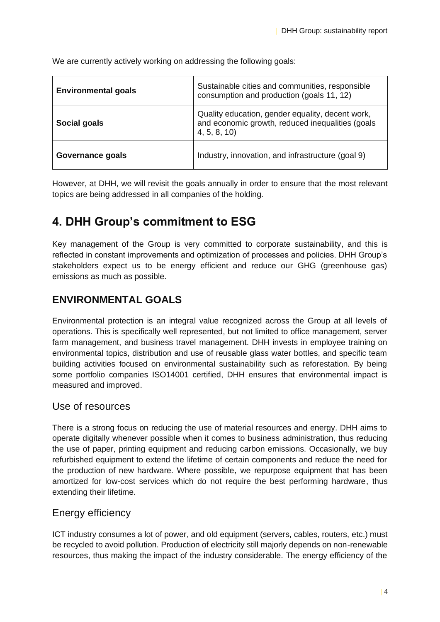**Environmental goals** Sustainable cities and communities, responsible consumption and production (goals 11, 12) **Social goals** Quality education, gender equality, decent work, and economic growth, reduced inequalities (goals 4, 5, 8, 10) **Governance goals Industry, innovation, and infrastructure (goal 9)** 

We are currently actively working on addressing the following goals:

However, at DHH, we will revisit the goals annually in order to ensure that the most relevant topics are being addressed in all companies of the holding.

#### **4. DHH Group's commitment to ESG**

Key management of the Group is very committed to corporate sustainability, and this is reflected in constant improvements and optimization of processes and policies. DHH Group's stakeholders expect us to be energy efficient and reduce our GHG (greenhouse gas) emissions as much as possible.

#### **ENVIRONMENTAL GOALS**

Environmental protection is an integral value recognized across the Group at all levels of operations. This is specifically well represented, but not limited to office management, server farm management, and business travel management. DHH invests in employee training on environmental topics, distribution and use of reusable glass water bottles, and specific team building activities focused on environmental sustainability such as reforestation. By being some portfolio companies ISO14001 certified, DHH ensures that environmental impact is measured and improved.

#### Use of resources

There is a strong focus on reducing the use of material resources and energy. DHH aims to operate digitally whenever possible when it comes to business administration, thus reducing the use of paper, printing equipment and reducing carbon emissions. Occasionally, we buy refurbished equipment to extend the lifetime of certain components and reduce the need for the production of new hardware. Where possible, we repurpose equipment that has been amortized for low-cost services which do not require the best performing hardware, thus extending their lifetime.

#### Energy efficiency

ICT industry consumes a lot of power, and old equipment (servers, cables, routers, etc.) must be recycled to avoid pollution. Production of electricity still majorly depends on non-renewable resources, thus making the impact of the industry considerable. The energy efficiency of the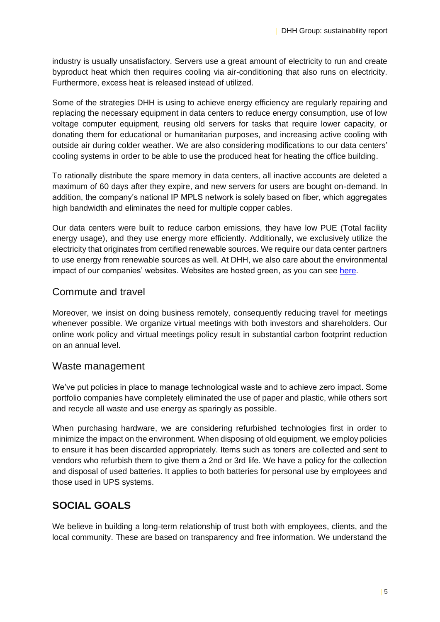industry is usually unsatisfactory. Servers use a great amount of electricity to run and create byproduct heat which then requires cooling via air-conditioning that also runs on electricity. Furthermore, excess heat is released instead of utilized.

Some of the strategies DHH is using to achieve energy efficiency are regularly repairing and replacing the necessary equipment in data centers to reduce energy consumption, use of low voltage computer equipment, reusing old servers for tasks that require lower capacity, or donating them for educational or humanitarian purposes, and increasing active cooling with outside air during colder weather. We are also considering modifications to our data centers' cooling systems in order to be able to use the produced heat for heating the office building.

To rationally distribute the spare memory in data centers, all inactive accounts are deleted a maximum of 60 days after they expire, and new servers for users are bought on-demand. In addition, the company's national IP MPLS network is solely based on fiber, which aggregates high bandwidth and eliminates the need for multiple copper cables.

Our data centers were built to reduce carbon emissions, they have low PUE (Total facility energy usage), and they use energy more efficiently. Additionally, we exclusively utilize the electricity that originates from certified renewable sources. We require our data center partners to use energy from renewable sources as well. At DHH, we also care about the environmental impact of our companies' websites. Websites are hosted green, as you can see [here.](https://www.thegreenwebfoundation.org/green-web-check/?url=www.seeweb.it)

#### Commute and travel

Moreover, we insist on doing business remotely, consequently reducing travel for meetings whenever possible. We organize virtual meetings with both investors and shareholders. Our online work policy and virtual meetings policy result in substantial carbon footprint reduction on an annual level.

#### Waste management

We've put policies in place to manage technological waste and to achieve zero impact. Some portfolio companies have completely eliminated the use of paper and plastic, while others sort and recycle all waste and use energy as sparingly as possible.

When purchasing hardware, we are considering refurbished technologies first in order to minimize the impact on the environment. When disposing of old equipment, we employ policies to ensure it has been discarded appropriately. Items such as toners are collected and sent to vendors who refurbish them to give them a 2nd or 3rd life. We have a policy for the collection and disposal of used batteries. It applies to both batteries for personal use by employees and those used in UPS systems.

#### **SOCIAL GOALS**

We believe in building a long-term relationship of trust both with employees, clients, and the local community. These are based on transparency and free information. We understand the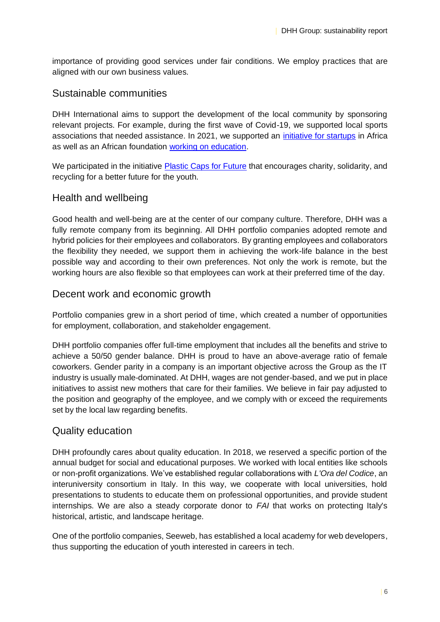importance of providing good services under fair conditions. We employ practices that are aligned with our own business values.

#### Sustainable communities

DHH International aims to support the development of the local community by sponsoring relevant projects. For example, during the first wave of Covid-19, we supported local sports associations that needed assistance. In 2021, we supported an [initiative for startups](https://startupafricaroadtrip.com/) in Africa as well as an African foundation [working on education.](https://womenofvision.co.za/)

We participated in the initiative [Plastic Caps for Future](https://www.interregeurope.eu/policylearning/good-practices/item/3870/plastic-caps-for-future-initiative-together-we-can-do-more/) that encourages charity, solidarity, and recycling for a better future for the youth.

#### Health and wellbeing

Good health and well-being are at the center of our company culture. Therefore, DHH was a fully remote company from its beginning. All DHH portfolio companies adopted remote and hybrid policies for their employees and collaborators. By granting employees and collaborators the flexibility they needed, we support them in achieving the work-life balance in the best possible way and according to their own preferences. Not only the work is remote, but the working hours are also flexible so that employees can work at their preferred time of the day.

#### Decent work and economic growth

Portfolio companies grew in a short period of time, which created a number of opportunities for employment, collaboration, and stakeholder engagement.

DHH portfolio companies offer full-time employment that includes all the benefits and strive to achieve a 50/50 gender balance. DHH is proud to have an above-average ratio of female coworkers. Gender parity in a company is an important objective across the Group as the IT industry is usually male-dominated. At DHH, wages are not gender-based, and we put in place initiatives to assist new mothers that care for their families. We believe in fair pay adjusted to the position and geography of the employee, and we comply with or exceed the requirements set by the local law regarding benefits.

#### Quality education

DHH profoundly cares about quality education. In 2018, we reserved a specific portion of the annual budget for social and educational purposes. We worked with local entities like schools or non-profit organizations. We've established regular collaborations with *L'Ora del Codice*, an interuniversity consortium in Italy. In this way, we cooperate with local universities, hold presentations to students to educate them on professional opportunities, and provide student internships. We are also a steady corporate donor to *[FAI](https://fondoambiente.it/il-fai/mission/)* that works on protecting Italy's historical, artistic, and landscape heritage.

One of the portfolio companies, Seeweb, has established a local academy for web developers, thus supporting the education of youth interested in careers in tech.